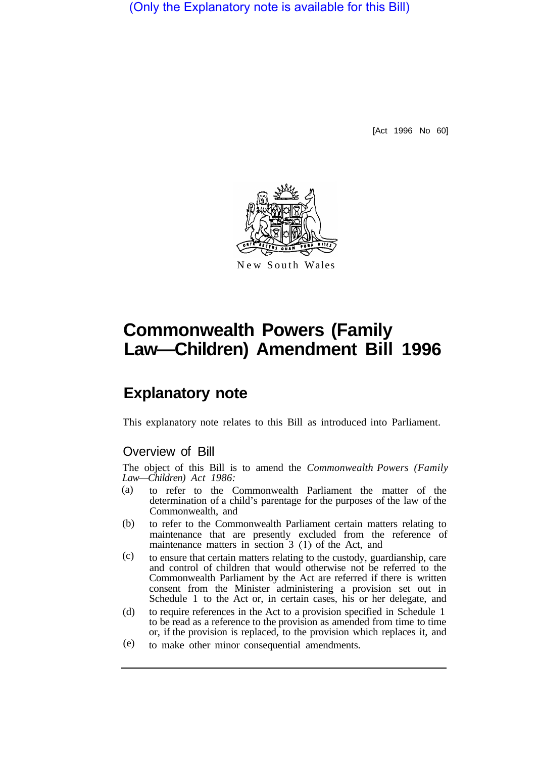(Only the Explanatory note is available for this Bill)

[Act 1996 No 60]



## **Commonwealth Powers (Family Law—Children) Amendment Bill 1996**

## **Explanatory note**

This explanatory note relates to this Bill as introduced into Parliament.

## Overview of Bill

The object of this Bill is to amend the *Commonwealth Powers (Family Law—Children) Act 1986:* 

- to refer to the Commonwealth Parliament the matter of the determination of a child's parentage for the purposes of the law of the Commonwealth, and (a)
- to refer to the Commonwealth Parliament certain matters relating to maintenance that are presently excluded from the reference of maintenance matters in section 3 (1) of the Act, and (b)
- to ensure that certain matters relating to the custody, guardianship, care and control of children that would otherwise not be referred to the Commonwealth Parliament by the Act are referred if there is written consent from the Minister administering a provision set out in Schedule 1 to the Act or, in certain cases, his or her delegate, and (c)
- to require references in the Act to a provision specified in Schedule 1 to be read as a reference to the provision as amended from time to time or, if the provision is replaced, to the provision which replaces it, and (d)
- to make other minor consequential amendments. (e)